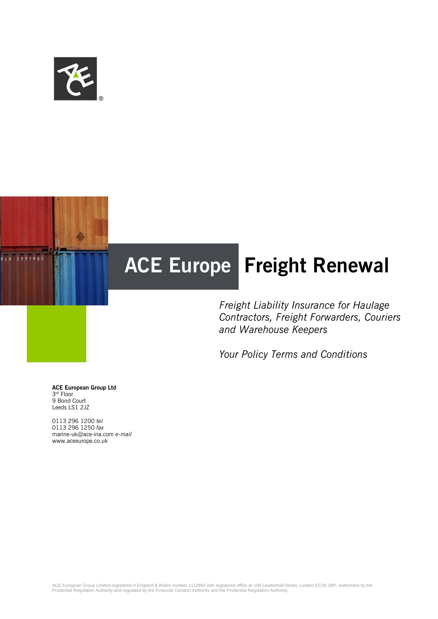



*Freight Liability Insurance for Haulage Contractors, Freight Forwarders, Couriers and Warehouse Keepers*

*Your Policy Terms and Conditions*

**ACE European Group Ltd** 3 rd Floor 9 Bond Court Leeds LS1 2JZ

0113 296 1200 *tel* 0113 296 1250 *fax* marine-uk@ace-ina.com *e-mail* www.aceeurope.co.uk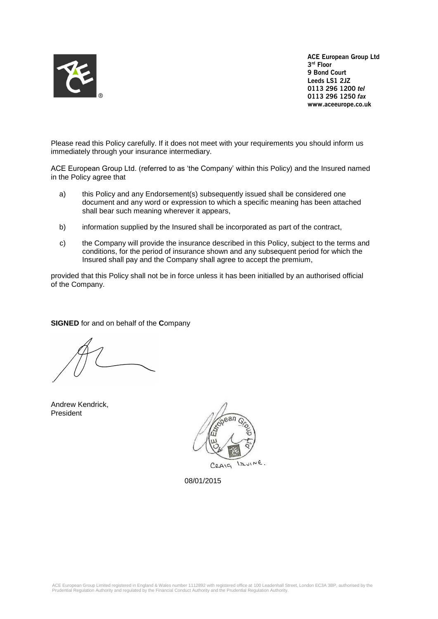

**ACE European Group Ltd 3 rd Floor 9 Bond Court Leeds LS1 2JZ 0113 296 1200** *tel* **0113 296 1250** *fax* **www.aceeurope.co.uk**

Please read this Policy carefully. If it does not meet with your requirements you should inform us immediately through your insurance intermediary.

ACE European Group Ltd. (referred to as 'the Company' within this Policy) and the Insured named in the Policy agree that

- a) this Policy and any Endorsement(s) subsequently issued shall be considered one document and any word or expression to which a specific meaning has been attached shall bear such meaning wherever it appears,
- b) information supplied by the Insured shall be incorporated as part of the contract,
- c) the Company will provide the insurance described in this Policy, subject to the terms and conditions, for the period of insurance shown and any subsequent period for which the Insured shall pay and the Company shall agree to accept the premium,

provided that this Policy shall not be in force unless it has been initialled by an authorised official of the Company.

## **SIGNED** for and on behalf of the **C**ompany

Andrew Kendrick, President



08/01/2015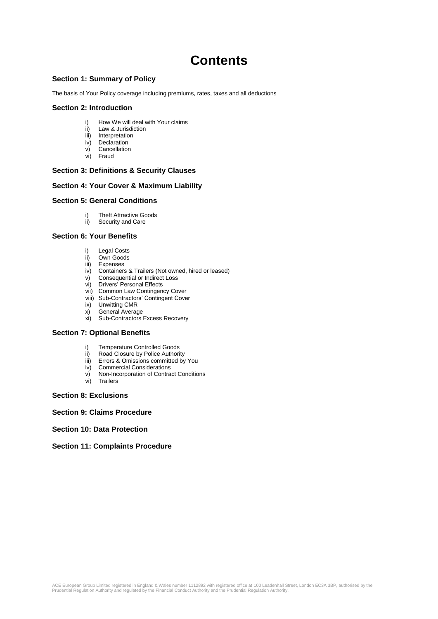# **Contents**

### **Section 1: Summary of Policy**

The basis of Your Policy coverage including premiums, rates, taxes and all deductions

### **Section 2: Introduction**

- How We will deal with Your claims
- ii) Law & Jurisdiction
- iii) Interpretation<br>iv) Declaration
- Declaration v) Cancellation
- vi) Fraud

### **Section 3: Definitions & Security Clauses**

### **Section 4: Your Cover & Maximum Liability**

### **Section 5: General Conditions**

- i) Theft Attractive Goods<br>ii) Security and Care
- Security and Care

### **Section 6: Your Benefits**

- i) Legal Costs
- ii) Own Goods
- iii) Expenses
- iv) Containers & Trailers (Not owned, hired or leased)
- v) Consequential or Indirect Loss
- vi) Drivers' Personal Effects
- vii) Common Law Contingency Cover
- viii) Sub-Contractors' Contingent Cover
- ix) Unwitting CMR
- x) General Average<br>xi) Sub-Contractors
- Sub-Contractors Excess Recovery

### **Section 7: Optional Benefits**

- i) Temperature Controlled Goods
- ii) Road Closure by Police Authority
- iii) Errors & Omissions committed by You<br>iv) Commercial Considerations
- **Commercial Considerations**
- v) Non-Incorporation of Contract Conditions
- vi) Trailers

### **Section 8: Exclusions**

### **Section 9: Claims Procedure**

### **Section 10: Data Protection**

### **Section 11: Complaints Procedure**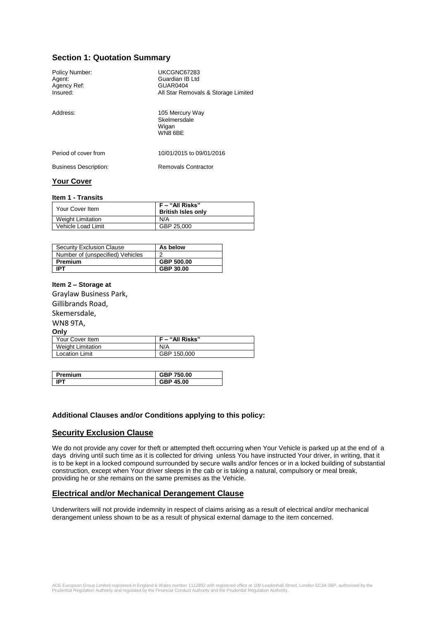# **Section 1: Quotation Summary**

| Policy Number:<br>Agent:<br>Agency Ref:<br>Insured: | UKCGNC67283<br>Guardian IB Ltd<br><b>GUAR0404</b><br>All Star Removals & Storage Limited |
|-----------------------------------------------------|------------------------------------------------------------------------------------------|
| Address:                                            | 105 Mercury Way<br>Skelmersdale<br>Wigan<br>WN8 6BE                                      |
| Period of cover from                                | 10/01/2015 to 09/01/2016                                                                 |
| <b>Business Description:</b>                        | Removals Contractor                                                                      |
| $\mathbf{v}$ and $\mathbf{v}$                       |                                                                                          |

# **Your Cover**

#### **Item 1 - Transits**

| F – "All Risks"<br><b>British Isles only</b> |
|----------------------------------------------|
| N/A                                          |
| GBP 25,000                                   |
|                                              |

| <b>Security Exclusion Clause</b> | As below   |
|----------------------------------|------------|
| Number of (unspecified) Vehicles |            |
| Premium                          | GBP 500.00 |
| <b>IPT</b>                       | GBP 30.00  |

### **Item 2 – Storage at**

Graylaw Business Park, Gillibrands Road, Skemersdale,

#### WN8 9TA, **Only**

| <u>, </u>             |                 |
|-----------------------|-----------------|
| Your Cover Item       | F – "All Risks" |
| Weight Limitation     | N/A             |
| <b>Location Limit</b> | GBP 150,000     |
|                       |                 |

| Premium | ◘ 750.00<br>reo |
|---------|-----------------|
|         | GBP 45.00       |

### **Additional Clauses and/or Conditions applying to this policy:**

### **Security Exclusion Clause**

We do not provide any cover for theft or attempted theft occurring when Your Vehicle is parked up at the end of a days driving until such time as it is collected for driving unless You have instructed Your driver, in writing, that it is to be kept in a locked compound surrounded by secure walls and/or fences or in a locked building of substantial construction, except when Your driver sleeps in the cab or is taking a natural, compulsory or meal break, providing he or she remains on the same premises as the Vehicle.

### **Electrical and/or Mechanical Derangement Clause**

Underwriters will not provide indemnity in respect of claims arising as a result of electrical and/or mechanical derangement unless shown to be as a result of physical external damage to the item concerned.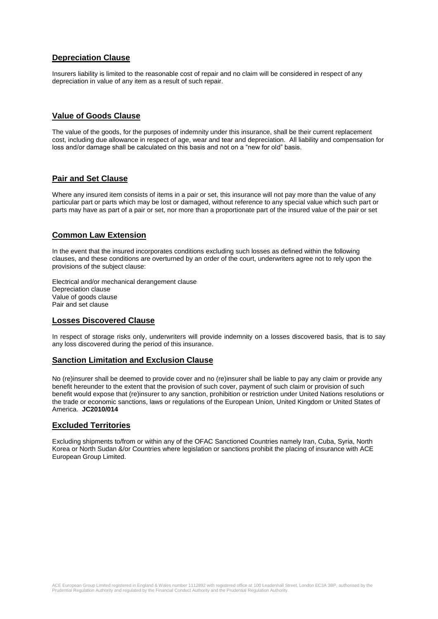# **Depreciation Clause**

Insurers liability is limited to the reasonable cost of repair and no claim will be considered in respect of any depreciation in value of any item as a result of such repair.

# **Value of Goods Clause**

The value of the goods, for the purposes of indemnity under this insurance, shall be their current replacement cost, including due allowance in respect of age, wear and tear and depreciation. All liability and compensation for loss and/or damage shall be calculated on this basis and not on a "new for old" basis.

# **Pair and Set Clause**

Where any insured item consists of items in a pair or set, this insurance will not pay more than the value of any particular part or parts which may be lost or damaged, without reference to any special value which such part or parts may have as part of a pair or set, nor more than a proportionate part of the insured value of the pair or set

# **Common Law Extension**

In the event that the insured incorporates conditions excluding such losses as defined within the following clauses, and these conditions are overturned by an order of the court, underwriters agree not to rely upon the provisions of the subject clause:

Electrical and/or mechanical derangement clause Depreciation clause Value of goods clause Pair and set clause

## **Losses Discovered Clause**

In respect of storage risks only, underwriters will provide indemnity on a losses discovered basis, that is to say any loss discovered during the period of this insurance.

## **Sanction Limitation and Exclusion Clause**

No (re)insurer shall be deemed to provide cover and no (re)insurer shall be liable to pay any claim or provide any benefit hereunder to the extent that the provision of such cover, payment of such claim or provision of such benefit would expose that (re)insurer to any sanction, prohibition or restriction under United Nations resolutions or the trade or economic sanctions, laws or regulations of the European Union, United Kingdom or United States of America. **JC2010/014** 

### **Excluded Territories**

Excluding shipments to/from or within any of the OFAC Sanctioned Countries namely Iran, Cuba, Syria, North Korea or North Sudan &/or Countries where legislation or sanctions prohibit the placing of insurance with ACE European Group Limited.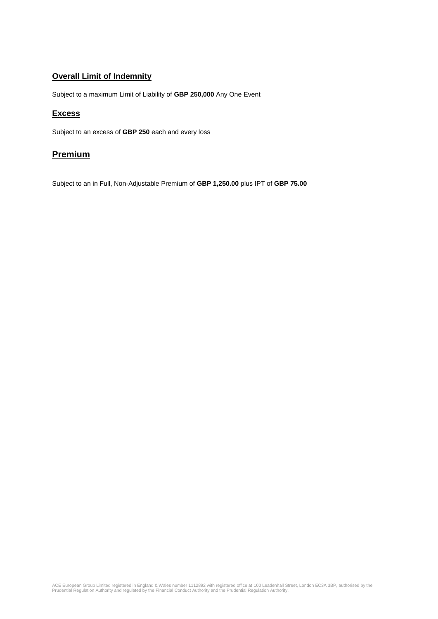# **Overall Limit of Indemnity**

Subject to a maximum Limit of Liability of **GBP 250,000** Any One Event

### **Excess**

Subject to an excess of **GBP 250** each and every loss

# **Premium**

Subject to an in Full, Non-Adjustable Premium of **GBP 1,250.00** plus IPT of **GBP 75.00**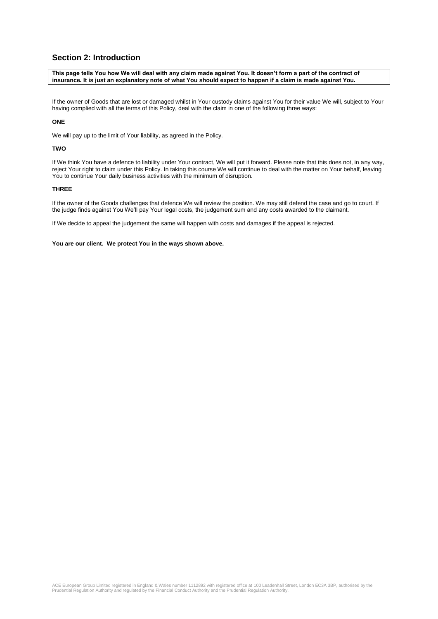# **Section 2: Introduction**

**This page tells You how We will deal with any claim made against You. It doesn't form a part of the contract of insurance. It is just an explanatory note of what You should expect to happen if a claim is made against You.**

If the owner of Goods that are lost or damaged whilst in Your custody claims against You for their value We will, subject to Your having complied with all the terms of this Policy, deal with the claim in one of the following three ways:

#### **ONE**

We will pay up to the limit of Your liability, as agreed in the Policy.

#### **TWO**

If We think You have a defence to liability under Your contract, We will put it forward. Please note that this does not, in any way, reject Your right to claim under this Policy. In taking this course We will continue to deal with the matter on Your behalf, leaving You to continue Your daily business activities with the minimum of disruption.

### **THREE**

If the owner of the Goods challenges that defence We will review the position. We may still defend the case and go to court. If the judge finds against You We'll pay Your legal costs, the judgement sum and any costs awarded to the claimant.

If We decide to appeal the judgement the same will happen with costs and damages if the appeal is rejected.

**You are our client. We protect You in the ways shown above.**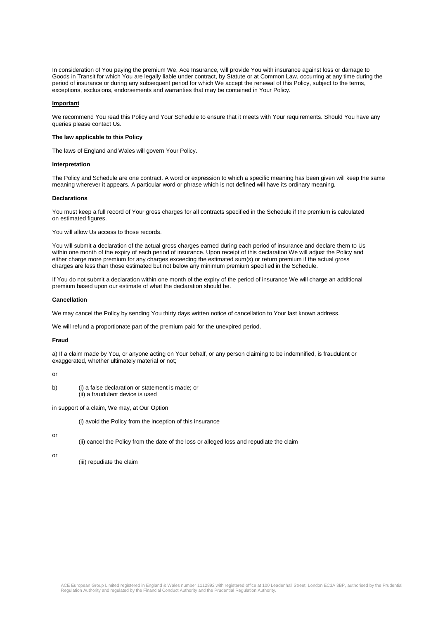In consideration of You paying the premium We, Ace Insurance, will provide You with insurance against loss or damage to Goods in Transit for which You are legally liable under contract, by Statute or at Common Law, occurring at any time during the period of insurance or during any subsequent period for which We accept the renewal of this Policy, subject to the terms, exceptions, exclusions, endorsements and warranties that may be contained in Your Policy.

#### **Important**

We recommend You read this Policy and Your Schedule to ensure that it meets with Your requirements. Should You have any queries please contact Us.

#### **The law applicable to this Policy**

The laws of England and Wales will govern Your Policy.

#### **Interpretation**

The Policy and Schedule are one contract. A word or expression to which a specific meaning has been given will keep the same meaning wherever it appears. A particular word or phrase which is not defined will have its ordinary meaning.

#### **Declarations**

You must keep a full record of Your gross charges for all contracts specified in the Schedule if the premium is calculated on estimated figures.

You will allow Us access to those records.

You will submit a declaration of the actual gross charges earned during each period of insurance and declare them to Us within one month of the expiry of each period of insurance. Upon receipt of this declaration We will adjust the Policy and either charge more premium for any charges exceeding the estimated sum(s) or return premium if the actual gross charges are less than those estimated but not below any minimum premium specified in the Schedule.

If You do not submit a declaration within one month of the expiry of the period of insurance We will charge an additional premium based upon our estimate of what the declaration should be.

#### **Cancellation**

We may cancel the Policy by sending You thirty days written notice of cancellation to Your last known address.

We will refund a proportionate part of the premium paid for the unexpired period.

#### **Fraud**

a) If a claim made by You, or anyone acting on Your behalf, or any person claiming to be indemnified, is fraudulent or exaggerated, whether ultimately material or not;

or

b) (i) a false declaration or statement is made; or (ii) a fraudulent device is used

in support of a claim, We may, at Our Option

(i) avoid the Policy from the inception of this insurance

or

- (ii) cancel the Policy from the date of the loss or alleged loss and repudiate the claim
- or

(iii) repudiate the claim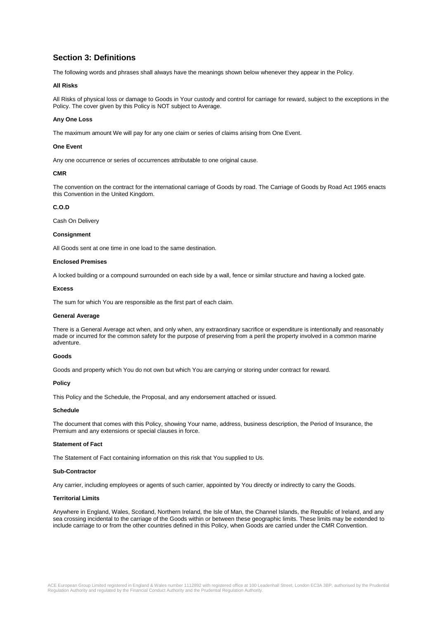# **Section 3: Definitions**

The following words and phrases shall always have the meanings shown below whenever they appear in the Policy.

#### **All Risks**

All Risks of physical loss or damage to Goods in Your custody and control for carriage for reward, subject to the exceptions in the Policy. The cover given by this Policy is NOT subject to Average.

#### **Any One Loss**

The maximum amount We will pay for any one claim or series of claims arising from One Event.

#### **One Event**

Any one occurrence or series of occurrences attributable to one original cause.

#### **CMR**

The convention on the contract for the international carriage of Goods by road. The Carriage of Goods by Road Act 1965 enacts this Convention in the United Kingdom.

#### **C.O.D**

Cash On Delivery

#### **Consignment**

All Goods sent at one time in one load to the same destination.

#### **Enclosed Premises**

A locked building or a compound surrounded on each side by a wall, fence or similar structure and having a locked gate.

#### **Excess**

The sum for which You are responsible as the first part of each claim.

#### **General Average**

There is a General Average act when, and only when, any extraordinary sacrifice or expenditure is intentionally and reasonably made or incurred for the common safety for the purpose of preserving from a peril the property involved in a common marine adventure.

#### **Goods**

Goods and property which You do not own but which You are carrying or storing under contract for reward.

#### **Policy**

This Policy and the Schedule, the Proposal, and any endorsement attached or issued.

#### **Schedule**

The document that comes with this Policy, showing Your name, address, business description, the Period of Insurance, the Premium and any extensions or special clauses in force.

#### **Statement of Fact**

The Statement of Fact containing information on this risk that You supplied to Us.

#### **Sub-Contractor**

Any carrier, including employees or agents of such carrier, appointed by You directly or indirectly to carry the Goods.

#### **Territorial Limits**

Anywhere in England, Wales, Scotland, Northern Ireland, the Isle of Man, the Channel Islands, the Republic of Ireland, and any sea crossing incidental to the carriage of the Goods within or between these geographic limits. These limits may be extended to include carriage to or from the other countries defined in this Policy, when Goods are carried under the CMR Convention.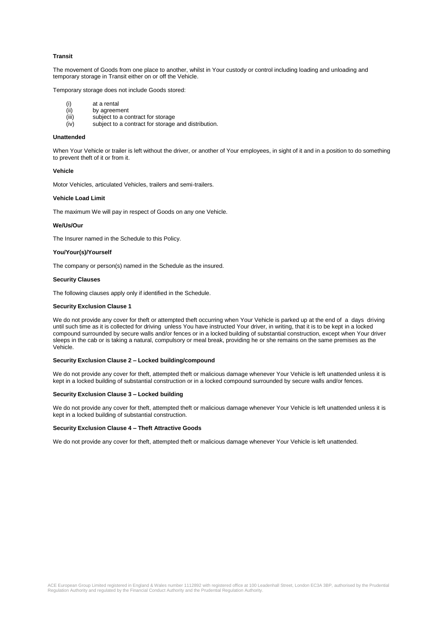#### **Transit**

The movement of Goods from one place to another, whilst in Your custody or control including loading and unloading and temporary storage in Transit either on or off the Vehicle.

Temporary storage does not include Goods stored:

- (i) at a rental
- (ii) by agreement<br>(iii) subject to a co
- (iii) subject to a contract for storage<br>(iv) subject to a contract for storage
- subject to a contract for storage and distribution.

#### **Unattended**

When Your Vehicle or trailer is left without the driver, or another of Your employees, in sight of it and in a position to do something to prevent theft of it or from it.

#### **Vehicle**

Motor Vehicles, articulated Vehicles, trailers and semi-trailers.

#### **Vehicle Load Limit**

The maximum We will pay in respect of Goods on any one Vehicle.

#### **We/Us/Our**

The Insurer named in the Schedule to this Policy.

#### **You/Your(s)/Yourself**

The company or person(s) named in the Schedule as the insured.

#### **Security Clauses**

The following clauses apply only if identified in the Schedule.

#### **Security Exclusion Clause 1**

We do not provide any cover for theft or attempted theft occurring when Your Vehicle is parked up at the end of a days driving until such time as it is collected for driving unless You have instructed Your driver, in writing, that it is to be kept in a locked compound surrounded by secure walls and/or fences or in a locked building of substantial construction, except when Your driver sleeps in the cab or is taking a natural, compulsory or meal break, providing he or she remains on the same premises as the Vehicle.

#### **Security Exclusion Clause 2 – Locked building/compound**

We do not provide any cover for theft, attempted theft or malicious damage whenever Your Vehicle is left unattended unless it is kept in a locked building of substantial construction or in a locked compound surrounded by secure walls and/or fences.

#### **Security Exclusion Clause 3 – Locked building**

We do not provide any cover for theft, attempted theft or malicious damage whenever Your Vehicle is left unattended unless it is kept in a locked building of substantial construction.

#### **Security Exclusion Clause 4 – Theft Attractive Goods**

We do not provide any cover for theft, attempted theft or malicious damage whenever Your Vehicle is left unattended.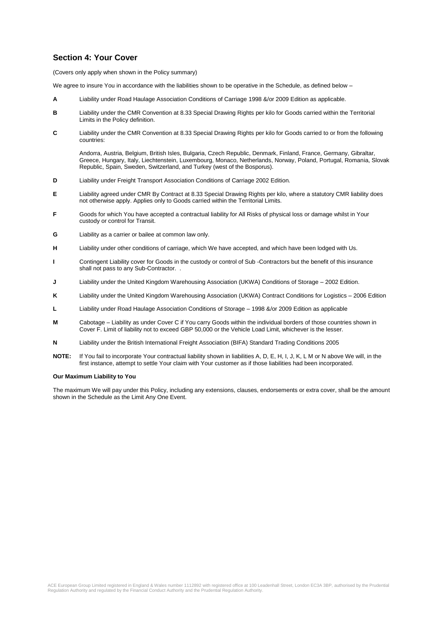# **Section 4: Your Cover**

(Covers only apply when shown in the Policy summary)

We agree to insure You in accordance with the liabilities shown to be operative in the Schedule, as defined below –

- **A** Liability under Road Haulage Association Conditions of Carriage 1998 &/or 2009 Edition as applicable.
- **B** Liability under the CMR Convention at 8.33 Special Drawing Rights per kilo for Goods carried within the Territorial Limits in the Policy definition.
- **C** Liability under the CMR Convention at 8.33 Special Drawing Rights per kilo for Goods carried to or from the following countries:

Andorra, Austria, Belgium, British Isles, Bulgaria, Czech Republic, Denmark, Finland, France, Germany, Gibraltar, Greece, Hungary, Italy, Liechtenstein, Luxembourg, Monaco, Netherlands, Norway, Poland, Portugal, Romania, Slovak Republic, Spain, Sweden, Switzerland, and Turkey (west of the Bosporus).

- **D** Liability under Freight Transport Association Conditions of Carriage 2002 Edition.
- **E** Liability agreed under CMR By Contract at 8.33 Special Drawing Rights per kilo, where a statutory CMR liability does not otherwise apply. Applies only to Goods carried within the Territorial Limits.
- **F** Goods for which You have accepted a contractual liability for All Risks of physical loss or damage whilst in Your custody or control for Transit.
- **G** Liability as a carrier or bailee at common law only.
- **H** Liability under other conditions of carriage, which We have accepted, and which have been lodged with Us.
- **I** Contingent Liability cover for Goods in the custody or control of Sub -Contractors but the benefit of this insurance shall not pass to any Sub-Contractor. .
- **J** Liability under the United Kingdom Warehousing Association (UKWA) Conditions of Storage 2002 Edition.
- **K** Liability under the United Kingdom Warehousing Association (UKWA) Contract Conditions for Logistics 2006 Edition
- **L** Liability under Road Haulage Association Conditions of Storage 1998 &/or 2009 Edition as applicable
- **M** Cabotage Liability as under Cover C if You carry Goods within the individual borders of those countries shown in Cover F. Limit of liability not to exceed GBP 50,000 or the Vehicle Load Limit, whichever is the lesser.
- **N** Liability under the British International Freight Association (BIFA) Standard Trading Conditions 2005
- **NOTE:** If You fail to incorporate Your contractual liability shown in liabilities A, D, E, H, I, J, K, L M or N above We will, in the first instance, attempt to settle Your claim with Your customer as if those liabilities had been incorporated.

#### **Our Maximum Liability to You**

The maximum We will pay under this Policy, including any extensions, clauses, endorsements or extra cover, shall be the amount shown in the Schedule as the Limit Any One Event.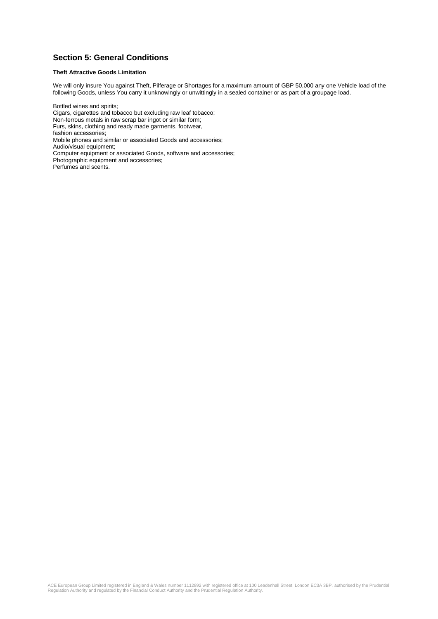# **Section 5: General Conditions**

### **Theft Attractive Goods Limitation**

We will only insure You against Theft, Pilferage or Shortages for a maximum amount of GBP 50,000 any one Vehicle load of the following Goods, unless You carry it unknowingly or unwittingly in a sealed container or as part of a groupage load.

Bottled wines and spirits; Cigars, cigarettes and tobacco but excluding raw leaf tobacco; Non-ferrous metals in raw scrap bar ingot or similar form; Furs, skins, clothing and ready made garments, footwear, fashion accessories; Mobile phones and similar or associated Goods and accessories; Audio/visual equipment; Computer equipment or associated Goods, software and accessories; Photographic equipment and accessories; Perfumes and scents.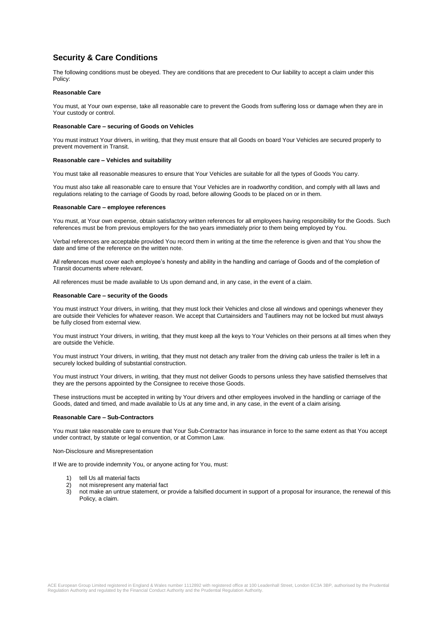# **Security & Care Conditions**

The following conditions must be obeyed. They are conditions that are precedent to Our liability to accept a claim under this Policy:

#### **Reasonable Care**

You must, at Your own expense, take all reasonable care to prevent the Goods from suffering loss or damage when they are in Your custody or control.

#### **Reasonable Care – securing of Goods on Vehicles**

You must instruct Your drivers, in writing, that they must ensure that all Goods on board Your Vehicles are secured properly to prevent movement in Transit.

#### **Reasonable care – Vehicles and suitability**

You must take all reasonable measures to ensure that Your Vehicles are suitable for all the types of Goods You carry.

You must also take all reasonable care to ensure that Your Vehicles are in roadworthy condition, and comply with all laws and regulations relating to the carriage of Goods by road, before allowing Goods to be placed on or in them.

#### **Reasonable Care – employee references**

You must, at Your own expense, obtain satisfactory written references for all employees having responsibility for the Goods. Such references must be from previous employers for the two years immediately prior to them being employed by You.

Verbal references are acceptable provided You record them in writing at the time the reference is given and that You show the date and time of the reference on the written note.

All references must cover each employee's honesty and ability in the handling and carriage of Goods and of the completion of Transit documents where relevant.

All references must be made available to Us upon demand and, in any case, in the event of a claim.

#### **Reasonable Care – security of the Goods**

You must instruct Your drivers, in writing, that they must lock their Vehicles and close all windows and openings whenever they are outside their Vehicles for whatever reason. We accept that Curtainsiders and Tautliners may not be locked but must always be fully closed from external view.

You must instruct Your drivers, in writing, that they must keep all the keys to Your Vehicles on their persons at all times when they are outside the Vehicle.

You must instruct Your drivers, in writing, that they must not detach any trailer from the driving cab unless the trailer is left in a securely locked building of substantial construction.

You must instruct Your drivers, in writing, that they must not deliver Goods to persons unless they have satisfied themselves that they are the persons appointed by the Consignee to receive those Goods.

These instructions must be accepted in writing by Your drivers and other employees involved in the handling or carriage of the Goods, dated and timed, and made available to Us at any time and, in any case, in the event of a claim arising.

#### **Reasonable Care – Sub-Contractors**

You must take reasonable care to ensure that Your Sub-Contractor has insurance in force to the same extent as that You accept under contract, by statute or legal convention, or at Common Law.

Non-Disclosure and Misrepresentation

If We are to provide indemnity You, or anyone acting for You, must:

- 1) tell Us all material facts
- 2) not misrepresent any material fact
- 3) not make an untrue statement, or provide a falsified document in support of a proposal for insurance, the renewal of this Policy, a claim.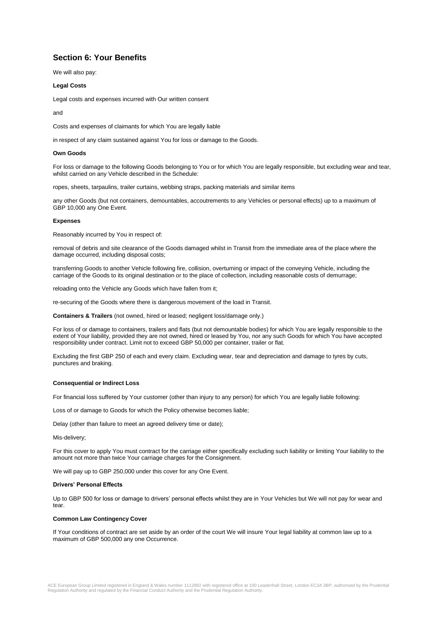# **Section 6: Your Benefits**

We will also pay:

#### **Legal Costs**

Legal costs and expenses incurred with Our written consent

and

Costs and expenses of claimants for which You are legally liable

in respect of any claim sustained against You for loss or damage to the Goods.

#### **Own Goods**

For loss or damage to the following Goods belonging to You or for which You are legally responsible, but excluding wear and tear, whilst carried on any Vehicle described in the Schedule:

ropes, sheets, tarpaulins, trailer curtains, webbing straps, packing materials and similar items

any other Goods (but not containers, demountables, accoutrements to any Vehicles or personal effects) up to a maximum of GBP 10,000 any One Event.

#### **Expenses**

Reasonably incurred by You in respect of:

removal of debris and site clearance of the Goods damaged whilst in Transit from the immediate area of the place where the damage occurred, including disposal costs;

transferring Goods to another Vehicle following fire, collision, overturning or impact of the conveying Vehicle, including the carriage of the Goods to its original destination or to the place of collection, including reasonable costs of demurrage;

reloading onto the Vehicle any Goods which have fallen from it;

re-securing of the Goods where there is dangerous movement of the load in Transit.

**Containers & Trailers** (not owned, hired or leased; negligent loss/damage only.)

For loss of or damage to containers, trailers and flats (but not demountable bodies) for which You are legally responsible to the extent of Your liability, provided they are not owned, hired or leased by You, nor any such Goods for which You have accepted responsibility under contract. Limit not to exceed GBP 50,000 per container, trailer or flat.

Excluding the first GBP 250 of each and every claim. Excluding wear, tear and depreciation and damage to tyres by cuts, punctures and braking.

#### **Consequential or Indirect Loss**

For financial loss suffered by Your customer (other than injury to any person) for which You are legally liable following:

Loss of or damage to Goods for which the Policy otherwise becomes liable;

Delay (other than failure to meet an agreed delivery time or date);

Mis-delivery;

For this cover to apply You must contract for the carriage either specifically excluding such liability or limiting Your liability to the amount not more than twice Your carriage charges for the Consignment.

We will pay up to GBP 250,000 under this cover for any One Event.

#### **Drivers' Personal Effects**

Up to GBP 500 for loss or damage to drivers' personal effects whilst they are in Your Vehicles but We will not pay for wear and tear.

#### **Common Law Contingency Cover**

If Your conditions of contract are set aside by an order of the court We will insure Your legal liability at common law up to a maximum of GBP 500,000 any one Occurrence.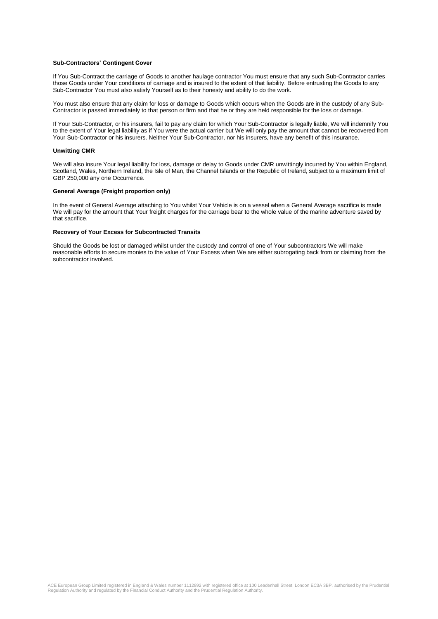#### **Sub-Contractors' Contingent Cover**

If You Sub-Contract the carriage of Goods to another haulage contractor You must ensure that any such Sub-Contractor carries those Goods under Your conditions of carriage and is insured to the extent of that liability. Before entrusting the Goods to any Sub-Contractor You must also satisfy Yourself as to their honesty and ability to do the work.

You must also ensure that any claim for loss or damage to Goods which occurs when the Goods are in the custody of any Sub-Contractor is passed immediately to that person or firm and that he or they are held responsible for the loss or damage.

If Your Sub-Contractor, or his insurers, fail to pay any claim for which Your Sub-Contractor is legally liable, We will indemnify You to the extent of Your legal liability as if You were the actual carrier but We will only pay the amount that cannot be recovered from Your Sub-Contractor or his insurers. Neither Your Sub-Contractor, nor his insurers, have any benefit of this insurance.

#### **Unwitting CMR**

We will also insure Your legal liability for loss, damage or delay to Goods under CMR unwittingly incurred by You within England, Scotland, Wales, Northern Ireland, the Isle of Man, the Channel Islands or the Republic of Ireland, subject to a maximum limit of GBP 250,000 any one Occurrence.

### **General Average (Freight proportion only)**

In the event of General Average attaching to You whilst Your Vehicle is on a vessel when a General Average sacrifice is made We will pay for the amount that Your freight charges for the carriage bear to the whole value of the marine adventure saved by that sacrifice.

#### **Recovery of Your Excess for Subcontracted Transits**

Should the Goods be lost or damaged whilst under the custody and control of one of Your subcontractors We will make reasonable efforts to secure monies to the value of Your Excess when We are either subrogating back from or claiming from the subcontractor involved.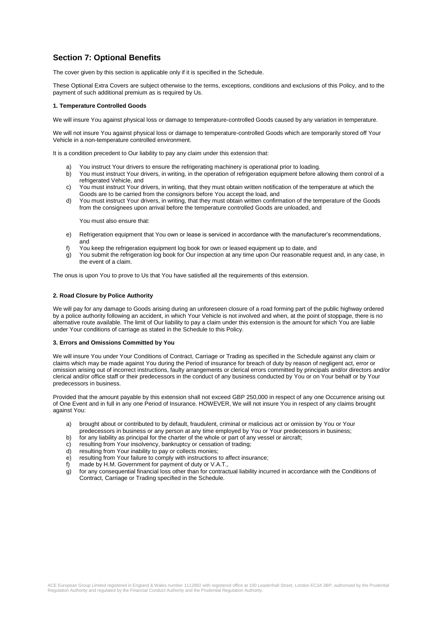# **Section 7: Optional Benefits**

The cover given by this section is applicable only if it is specified in the Schedule.

These Optional Extra Covers are subject otherwise to the terms, exceptions, conditions and exclusions of this Policy, and to the payment of such additional premium as is required by Us.

#### **1. Temperature Controlled Goods**

We will insure You against physical loss or damage to temperature-controlled Goods caused by any variation in temperature.

We will not insure You against physical loss or damage to temperature-controlled Goods which are temporarily stored off Your Vehicle in a non-temperature controlled environment.

It is a condition precedent to Our liability to pay any claim under this extension that:

- You instruct Your drivers to ensure the refrigerating machinery is operational prior to loading.
- b) You must instruct Your drivers, in writing, in the operation of refrigeration equipment before allowing them control of a refrigerated Vehicle, and
- c) You must instruct Your drivers, in writing, that they must obtain written notification of the temperature at which the Goods are to be carried from the consignors before You accept the load, and
- d) You must instruct Your drivers, in writing, that they must obtain written confirmation of the temperature of the Goods from the consignees upon arrival before the temperature controlled Goods are unloaded, and

You must also ensure that:

- e) Refrigeration equipment that You own or lease is serviced in accordance with the manufacturer's recommendations, and
- f) You keep the refrigeration equipment log book for own or leased equipment up to date, and
- g) You submit the refrigeration log book for Our inspection at any time upon Our reasonable request and, in any case, in the event of a claim.

The onus is upon You to prove to Us that You have satisfied all the requirements of this extension.

#### **2. Road Closure by Police Authority**

We will pay for any damage to Goods arising during an unforeseen closure of a road forming part of the public highway ordered by a police authority following an accident, in which Your Vehicle is not involved and when, at the point of stoppage, there is no alternative route available. The limit of Our liability to pay a claim under this extension is the amount for which You are liable under Your conditions of carriage as stated in the Schedule to this Policy.

#### **3. Errors and Omissions Committed by You**

We will insure You under Your Conditions of Contract, Carriage or Trading as specified in the Schedule against any claim or claims which may be made against You during the Period of insurance for breach of duty by reason of negligent act, error or omission arising out of incorrect instructions, faulty arrangements or clerical errors committed by principals and/or directors and/or clerical and/or office staff or their predecessors in the conduct of any business conducted by You or on Your behalf or by Your predecessors in business.

Provided that the amount payable by this extension shall not exceed GBP 250,000 in respect of any one Occurrence arising out of One Event and in full in any one Period of Insurance. HOWEVER, We will not insure You in respect of any claims brought against You:

- a) brought about or contributed to by default, fraudulent, criminal or malicious act or omission by You or Your predecessors in business or any person at any time employed by You or Your predecessors in business;
- b) for any liability as principal for the charter of the whole or part of any vessel or aircraft;
- c) resulting from Your insolvency, bankruptcy or cessation of trading;
- d) resulting from Your inability to pay or collects monies;
- e) resulting from Your failure to comply with instructions to affect insurance;
- f) made by H.M. Government for payment of duty or V.A.T.,
- g) for any consequential financial loss other than for contractual liability incurred in accordance with the Conditions of Contract, Carriage or Trading specified in the Schedule.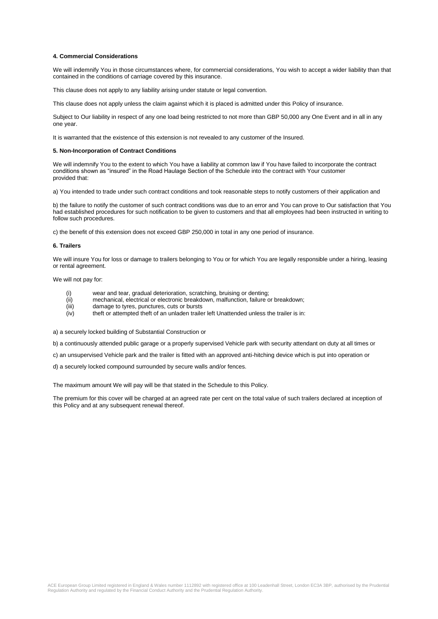#### **4. Commercial Considerations**

We will indemnify You in those circumstances where, for commercial considerations, You wish to accept a wider liability than that contained in the conditions of carriage covered by this insurance.

This clause does not apply to any liability arising under statute or legal convention.

This clause does not apply unless the claim against which it is placed is admitted under this Policy of insurance.

Subject to Our liability in respect of any one load being restricted to not more than GBP 50,000 any One Event and in all in any one year.

It is warranted that the existence of this extension is not revealed to any customer of the Insured.

#### **5. Non-Incorporation of Contract Conditions**

We will indemnify You to the extent to which You have a liability at common law if You have failed to incorporate the contract conditions shown as "insured" in the Road Haulage Section of the Schedule into the contract with Your customer provided that:

a) You intended to trade under such contract conditions and took reasonable steps to notify customers of their application and

b) the failure to notify the customer of such contract conditions was due to an error and You can prove to Our satisfaction that You had established procedures for such notification to be given to customers and that all employees had been instructed in writing to follow such procedures.

c) the benefit of this extension does not exceed GBP 250,000 in total in any one period of insurance.

#### **6. Trailers**

We will insure You for loss or damage to trailers belonging to You or for which You are legally responsible under a hiring, leasing or rental agreement.

We will not pay for:

- (i) wear and tear, gradual deterioration, scratching, bruising or denting;
- (ii) mechanical, electrical or electronic breakdown, malfunction, failure or breakdown;
- (iii) damage to tyres, punctures, cuts or bursts
- (iv) theft or attempted theft of an unladen trailer left Unattended unless the trailer is in:

a) a securely locked building of Substantial Construction or

b) a continuously attended public garage or a properly supervised Vehicle park with security attendant on duty at all times or

c) an unsupervised Vehicle park and the trailer is fitted with an approved anti-hitching device which is put into operation or

d) a securely locked compound surrounded by secure walls and/or fences.

The maximum amount We will pay will be that stated in the Schedule to this Policy.

The premium for this cover will be charged at an agreed rate per cent on the total value of such trailers declared at inception of this Policy and at any subsequent renewal thereof.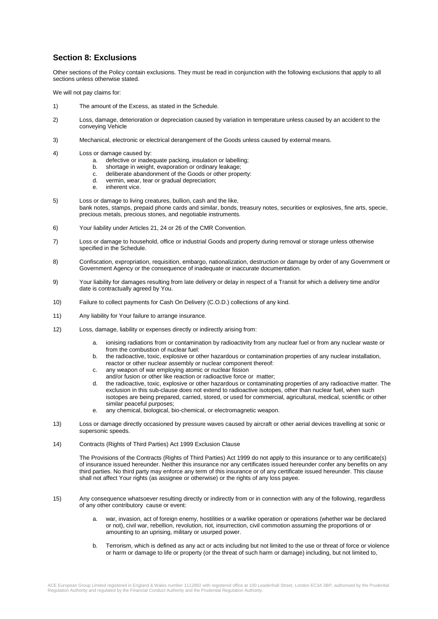# **Section 8: Exclusions**

Other sections of the Policy contain exclusions. They must be read in conjunction with the following exclusions that apply to all sections unless otherwise stated.

We will not pay claims for:

- 1) The amount of the Excess, as stated in the Schedule.
- 2) Loss, damage, deterioration or depreciation caused by variation in temperature unless caused by an accident to the conveying Vehicle
- 3) Mechanical, electronic or electrical derangement of the Goods unless caused by external means.
- 4) Loss or damage caused by:
	- a. defective or inadequate packing, insulation or labelling;
	- b. shortage in weight, evaporation or ordinary leakage;
	- c. deliberate abandonment of the Goods or other property:
	- d. vermin, wear, tear or gradual depreciation;
	- e. inherent vice.
- 5) Loss or damage to living creatures, bullion, cash and the like, bank notes, stamps, prepaid phone cards and similar, bonds, treasury notes, securities or explosives, fine arts, specie, precious metals, precious stones, and negotiable instruments.
- 6) Your liability under Articles 21, 24 or 26 of the CMR Convention.
- 7) Loss or damage to household, office or industrial Goods and property during removal or storage unless otherwise specified in the Schedule.
- 8) Confiscation, expropriation, requisition, embargo, nationalization, destruction or damage by order of any Government or Government Agency or the consequence of inadequate or inaccurate documentation.
- 9) Your liability for damages resulting from late delivery or delay in respect of a Transit for which a delivery time and/or date is contractually agreed by You.
- 10) Failure to collect payments for Cash On Delivery (C.O.D.) collections of any kind.
- 11) Any liability for Your failure to arrange insurance.
- 12) Loss, damage, liability or expenses directly or indirectly arising from:
	- a. ionising radiations from or contamination by radioactivity from any nuclear fuel or from any nuclear waste or from the combustion of nuclear fuel:
	- b. the radioactive, toxic, explosive or other hazardous or contamination properties of any nuclear installation, reactor or other nuclear assembly or nuclear component thereof:
	- c. any weapon of war employing atomic or nuclear fission
	- and/or fusion or other like reaction or radioactive force or matter;
	- d. the radioactive, toxic, explosive or other hazardous or contaminating properties of any radioactive matter. The exclusion in this sub-clause does not extend to radioactive isotopes, other than nuclear fuel, when such isotopes are being prepared, carried, stored, or used for commercial, agricultural, medical, scientific or other similar peaceful purposes;
	- e. any chemical, biological, bio-chemical, or electromagnetic weapon.
- 13) Loss or damage directly occasioned by pressure waves caused by aircraft or other aerial devices travelling at sonic or supersonic speeds.
- 14) Contracts (Rights of Third Parties) Act 1999 Exclusion Clause

The Provisions of the Contracts (Rights of Third Parties) Act 1999 do not apply to this insurance or to any certificate(s) of insurance issued hereunder. Neither this insurance nor any certificates issued hereunder confer any benefits on any third parties. No third party may enforce any term of this insurance or of any certificate issued hereunder. This clause shall not affect Your rights (as assignee or otherwise) or the rights of any loss payee.

- 15) Any consequence whatsoever resulting directly or indirectly from or in connection with any of the following, regardless of any other contributory cause or event:
	- a. war, invasion, act of foreign enemy, hostilities or a warlike operation or operations (whether war be declared or not), civil war, rebellion, revolution, riot, insurrection, civil commotion assuming the proportions of or amounting to an uprising, military or usurped power.
	- b. Terrorism, which is defined as any act or acts including but not limited to the use or threat of force or violence or harm or damage to life or property (or the threat of such harm or damage) including, but not limited to,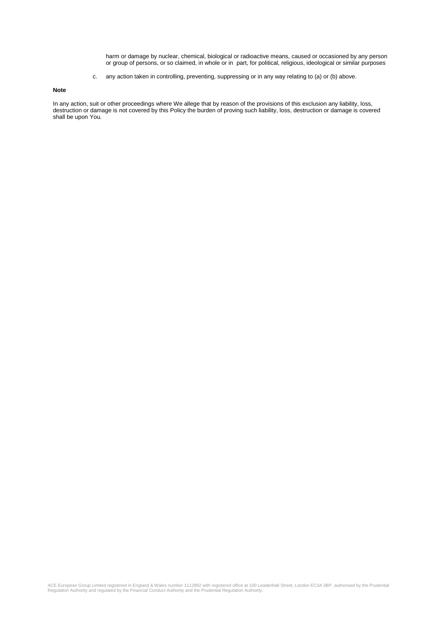harm or damage by nuclear, chemical, biological or radioactive means, caused or occasioned by any person or group of persons, or so claimed, in whole or in part, for political, religious, ideological or similar purposes

c. any action taken in controlling, preventing, suppressing or in any way relating to (a) or (b) above.

**Note**

In any action, suit or other proceedings where We allege that by reason of the provisions of this exclusion any liability, loss, destruction or damage is not covered by this Policy the burden of proving such liability, loss, destruction or damage is covered shall be upon You.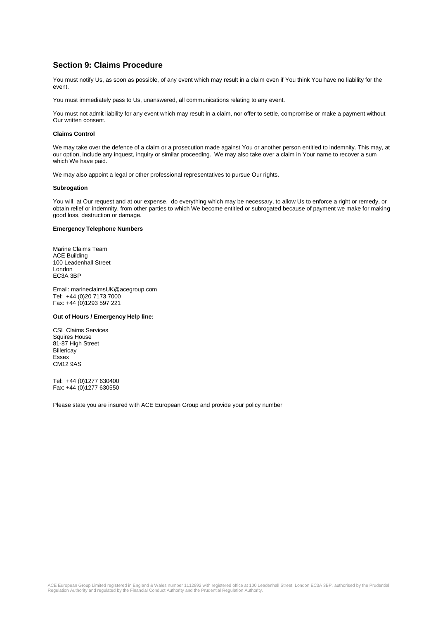## **Section 9: Claims Procedure**

You must notify Us, as soon as possible, of any event which may result in a claim even if You think You have no liability for the event.

You must immediately pass to Us, unanswered, all communications relating to any event.

You must not admit liability for any event which may result in a claim, nor offer to settle, compromise or make a payment without Our written consent.

#### **Claims Control**

We may take over the defence of a claim or a prosecution made against You or another person entitled to indemnity. This may, at our option, include any inquest, inquiry or similar proceeding. We may also take over a claim in Your name to recover a sum which We have paid.

We may also appoint a legal or other professional representatives to pursue Our rights.

#### **Subrogation**

You will, at Our request and at our expense, do everything which may be necessary, to allow Us to enforce a right or remedy, or obtain relief or indemnity, from other parties to which We become entitled or subrogated because of payment we make for making good loss, destruction or damage.

#### **Emergency Telephone Numbers**

Marine Claims Team ACE Building 100 Leadenhall Street London EC3A 3BP

Email: marineclaimsUK@acegroup.com Tel: +44 (0)20 7173 7000 Fax: +44 (0)1293 597 221

#### **Out of Hours / Emergency Help line:**

CSL Claims Services Squires House 81-87 High Street **Billericay** Essex CM12 9AS

Tel: +44 (0)1277 630400 Fax: +44 (0)1277 630550

Please state you are insured with ACE European Group and provide your policy number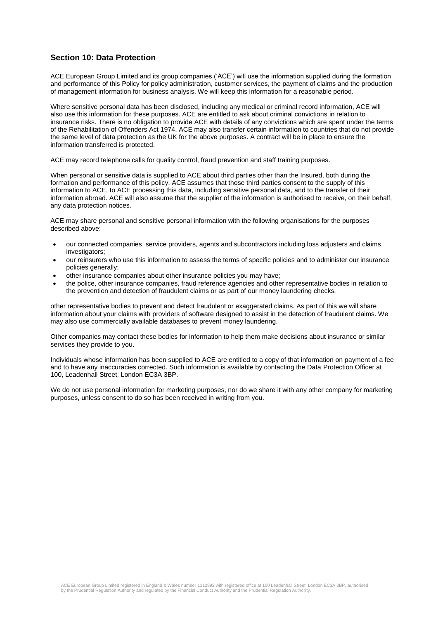# **Section 10: Data Protection**

ACE European Group Limited and its group companies ('ACE') will use the information supplied during the formation and performance of this Policy for policy administration, customer services, the payment of claims and the production of management information for business analysis. We will keep this information for a reasonable period.

Where sensitive personal data has been disclosed, including any medical or criminal record information, ACE will also use this information for these purposes. ACE are entitled to ask about criminal convictions in relation to insurance risks. There is no obligation to provide ACE with details of any convictions which are spent under the terms of the Rehabilitation of Offenders Act 1974. ACE may also transfer certain information to countries that do not provide the same level of data protection as the UK for the above purposes. A contract will be in place to ensure the information transferred is protected.

ACE may record telephone calls for quality control, fraud prevention and staff training purposes.

When personal or sensitive data is supplied to ACE about third parties other than the Insured, both during the formation and performance of this policy, ACE assumes that those third parties consent to the supply of this information to ACE, to ACE processing this data, including sensitive personal data, and to the transfer of their information abroad. ACE will also assume that the supplier of the information is authorised to receive, on their behalf, any data protection notices.

ACE may share personal and sensitive personal information with the following organisations for the purposes described above:

- our connected companies, service providers, agents and subcontractors including loss adjusters and claims investigators;
- our reinsurers who use this information to assess the terms of specific policies and to administer our insurance policies generally;
- other insurance companies about other insurance policies you may have;
- the police, other insurance companies, fraud reference agencies and other representative bodies in relation to the prevention and detection of fraudulent claims or as part of our money laundering checks.

other representative bodies to prevent and detect fraudulent or exaggerated claims. As part of this we will share information about your claims with providers of software designed to assist in the detection of fraudulent claims. We may also use commercially available databases to prevent money laundering.

Other companies may contact these bodies for information to help them make decisions about insurance or similar services they provide to you.

Individuals whose information has been supplied to ACE are entitled to a copy of that information on payment of a fee and to have any inaccuracies corrected. Such information is available by contacting the Data Protection Officer at 100, Leadenhall Street, London EC3A 3BP.

We do not use personal information for marketing purposes, nor do we share it with any other company for marketing purposes, unless consent to do so has been received in writing from you.